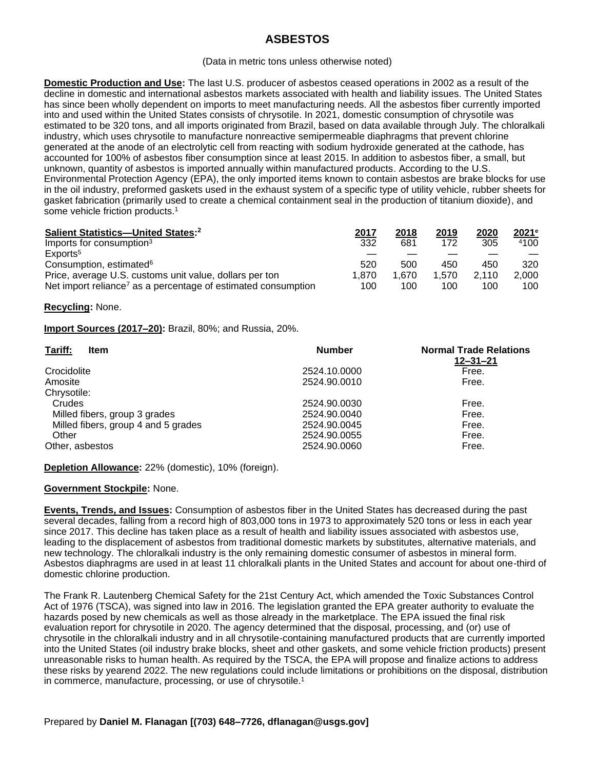# **ASBESTOS**

#### (Data in metric tons unless otherwise noted)

**Domestic Production and Use:** The last U.S. producer of asbestos ceased operations in 2002 as a result of the decline in domestic and international asbestos markets associated with health and liability issues. The United States has since been wholly dependent on imports to meet manufacturing needs. All the asbestos fiber currently imported into and used within the United States consists of chrysotile. In 2021, domestic consumption of chrysotile was estimated to be 320 tons, and all imports originated from Brazil, based on data available through July. The chloralkali industry, which uses chrysotile to manufacture nonreactive semipermeable diaphragms that prevent chlorine generated at the anode of an electrolytic cell from reacting with sodium hydroxide generated at the cathode, has accounted for 100% of asbestos fiber consumption since at least 2015. In addition to asbestos fiber, a small, but unknown, quantity of asbestos is imported annually within manufactured products. According to the U.S. Environmental Protection Agency (EPA), the only imported items known to contain asbestos are brake blocks for use in the oil industry, preformed gaskets used in the exhaust system of a specific type of utility vehicle, rubber sheets for gasket fabrication (primarily used to create a chemical containment seal in the production of titanium dioxide), and some vehicle friction products.<sup>1</sup>

| Salient Statistics-United States: <sup>2</sup>                            | 2017  | 2018  | 2019  | 2020  | $2021$ <sup>e</sup> |
|---------------------------------------------------------------------------|-------|-------|-------|-------|---------------------|
| Imports for consumption <sup>3</sup>                                      | 332   | 681   | 172   | 305   | 4100                |
| Exports <sup>5</sup>                                                      |       |       |       |       |                     |
| Consumption, estimated <sup>6</sup>                                       | 520   | 500   | 450   | 450   | 320                 |
| Price, average U.S. customs unit value, dollars per ton                   | 1.870 | 1.670 | 1.570 | 2.110 | 2.000               |
| Net import reliance <sup>7</sup> as a percentage of estimated consumption | 100   | 100   | 100   | 100   | 100                 |

## **Recycling:** None.

## **Import Sources (2017–20):** Brazil, 80%; and Russia, 20%.

| Tariff:<br>Item                     | <b>Number</b> | <b>Normal Trade Relations</b><br>$12 - 31 - 21$ |
|-------------------------------------|---------------|-------------------------------------------------|
| Crocidolite                         | 2524.10.0000  | Free.                                           |
| Amosite                             | 2524.90.0010  | Free.                                           |
| Chrysotile:                         |               |                                                 |
| Crudes                              | 2524.90.0030  | Free.                                           |
| Milled fibers, group 3 grades       | 2524.90.0040  | Free.                                           |
| Milled fibers, group 4 and 5 grades | 2524.90.0045  | Free.                                           |
| Other                               | 2524.90.0055  | Free.                                           |
| Other, asbestos                     | 2524.90.0060  | Free.                                           |

**Depletion Allowance:** 22% (domestic), 10% (foreign).

## **Government Stockpile:** None.

**Events, Trends, and Issues:** Consumption of asbestos fiber in the United States has decreased during the past several decades, falling from a record high of 803,000 tons in 1973 to approximately 520 tons or less in each year since 2017. This decline has taken place as a result of health and liability issues associated with asbestos use, leading to the displacement of asbestos from traditional domestic markets by substitutes, alternative materials, and new technology. The chloralkali industry is the only remaining domestic consumer of asbestos in mineral form. Asbestos diaphragms are used in at least 11 chloralkali plants in the United States and account for about one-third of domestic chlorine production.

The Frank R. Lautenberg Chemical Safety for the 21st Century Act, which amended the Toxic Substances Control Act of 1976 (TSCA), was signed into law in 2016. The legislation granted the EPA greater authority to evaluate the hazards posed by new chemicals as well as those already in the marketplace. The EPA issued the final risk evaluation report for chrysotile in 2020. The agency determined that the disposal, processing, and (or) use of chrysotile in the chloralkali industry and in all chrysotile-containing manufactured products that are currently imported into the United States (oil industry brake blocks, sheet and other gaskets, and some vehicle friction products) present unreasonable risks to human health. As required by the TSCA, the EPA will propose and finalize actions to address these risks by yearend 2022. The new regulations could include limitations or prohibitions on the disposal, distribution in commerce, manufacture, processing, or use of chrysotile.<sup>1</sup>